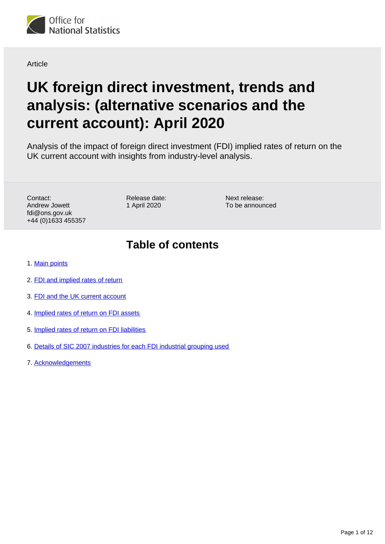

Article

# **UK foreign direct investment, trends and analysis: (alternative scenarios and the current account): April 2020**

Analysis of the impact of foreign direct investment (FDI) implied rates of return on the UK current account with insights from industry-level analysis.

Contact: Andrew Jowett fdi@ons.gov.uk +44 (0)1633 455357 Release date: 1 April 2020

Next release: To be announced

## **Table of contents**

- 1. [Main points](#page-1-0)
- 2. [FDI and implied rates of return](#page-1-1)
- 3. [FDI and the UK current account](#page-2-0)
- 4. [Implied rates of return on FDI assets](#page-4-0)
- 5. [Implied rates of return on FDI liabilities](#page-7-0)
- 6. [Details of SIC 2007 industries for each FDI industrial grouping used](#page-10-0)
- 7. [Acknowledgements](#page-11-0)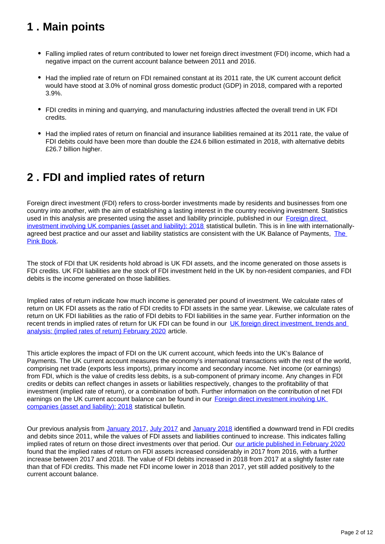## <span id="page-1-0"></span>**1 . Main points**

- Falling implied rates of return contributed to lower net foreign direct investment (FDI) income, which had a negative impact on the current account balance between 2011 and 2016.
- Had the implied rate of return on FDI remained constant at its 2011 rate, the UK current account deficit would have stood at 3.0% of nominal gross domestic product (GDP) in 2018, compared with a reported 3.9%.
- FDI credits in mining and quarrying, and manufacturing industries affected the overall trend in UK FDI credits.
- Had the implied rates of return on financial and insurance liabilities remained at its 2011 rate, the value of FDI debits could have been more than double the £24.6 billion estimated in 2018, with alternative debits £26.7 billion higher.

## <span id="page-1-1"></span>**2 . FDI and implied rates of return**

Foreign direct investment (FDI) refers to cross-border investments made by residents and businesses from one country into another, with the aim of establishing a lasting interest in the country receiving investment. Statistics used in this analysis are presented using the asset and liability principle, published in our Foreign direct [investment involving UK companies \(asset and liability\): 2018](https://www.ons.gov.uk/releases/foreigndirectinvestmentinvolvingukcompaniesassetandliability2018) statistical bulletin. This is in line with internationallyagreed best practice and our asset and liability statistics are consistent with the UK Balance of Payments, The [Pink Book](https://www.ons.gov.uk/economy/nationalaccounts/balanceofpayments/bulletins/unitedkingdombalanceofpaymentsthepinkbook/2019).

The stock of FDI that UK residents hold abroad is UK FDI assets, and the income generated on those assets is FDI credits. UK FDI liabilities are the stock of FDI investment held in the UK by non-resident companies, and FDI debits is the income generated on those liabilities.

Implied rates of return indicate how much income is generated per pound of investment. We calculate rates of return on UK FDI assets as the ratio of FDI credits to FDI assets in the same year. Likewise, we calculate rates of return on UK FDI liabilities as the ratio of FDI debits to FDI liabilities in the same year. Further information on the recent trends in implied rates of return for UK FDI can be found in our UK foreign direct investment, trends and [analysis: \(implied rates of return\) February 2020](https://www.ons.gov.uk/economy/nationalaccounts/balanceofpayments/articles/ukforeigndirectinvestmenttrendsandanalysis/impliedratesofreturnfebruary2020) article.

This article explores the impact of FDI on the UK current account, which feeds into the UK's Balance of Payments. The UK current account measures the economy's international transactions with the rest of the world, comprising net trade (exports less imports), primary income and secondary income. Net income (or earnings) from FDI, which is the value of credits less debits, is a sub-component of primary income. Any changes in FDI credits or debits can reflect changes in assets or liabilities respectively, changes to the profitability of that investment (implied rate of return), or a combination of both. Further information on the contribution of net FDI earnings on the UK current account balance can be found in our [Foreign direct investment involving UK](https://www.ons.gov.uk/releases/foreigndirectinvestmentinvolvingukcompaniesassetandliability2018)  [companies \(asset and liability\): 2018](https://www.ons.gov.uk/releases/foreigndirectinvestmentinvolvingukcompaniesassetandliability2018) statistical bulletin.

Our previous analysis from [January 2017](https://www.ons.gov.uk/economy/nationalaccounts/balanceofpayments/articles/areviewofukforeigndirectinvestmentstatistics/winter2017), [July 2017](https://www.ons.gov.uk/economy/nationalaccounts/balanceofpayments/articles/ukforeigndirectinvestmenttrendsandanalysis/summer2017) and [January 2018](https://www.ons.gov.uk/economy/nationalaccounts/balanceofpayments/articles/ukforeigndirectinvestmenttrendsandanalysis/january2018) identified a downward trend in FDI credits and debits since 2011, while the values of FDI assets and liabilities continued to increase. This indicates falling implied rates of return on those direct investments over that period. Our [our article published in February 2020](https://www.ons.gov.uk/economy/nationalaccounts/balanceofpayments/articles/ukforeigndirectinvestmenttrendsandanalysis/impliedratesofreturnfebruary2020) found that the implied rates of return on FDI assets increased considerably in 2017 from 2016, with a further increase between 2017 and 2018. The value of FDI debits increased in 2018 from 2017 at a slightly faster rate than that of FDI credits. This made net FDI income lower in 2018 than 2017, yet still added positively to the current account balance.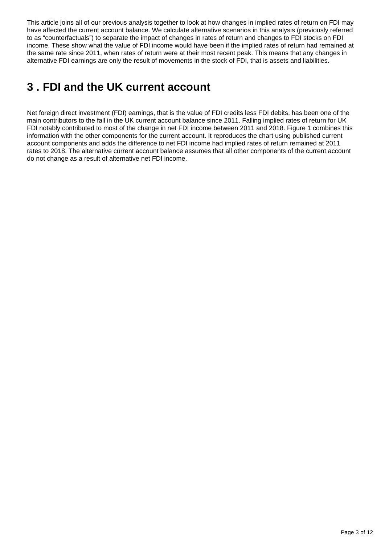This article joins all of our previous analysis together to look at how changes in implied rates of return on FDI may have affected the current account balance. We calculate alternative scenarios in this analysis (previously referred to as "counterfactuals") to separate the impact of changes in rates of return and changes to FDI stocks on FDI income. These show what the value of FDI income would have been if the implied rates of return had remained at the same rate since 2011, when rates of return were at their most recent peak. This means that any changes in alternative FDI earnings are only the result of movements in the stock of FDI, that is assets and liabilities.

## <span id="page-2-0"></span>**3 . FDI and the UK current account**

Net foreign direct investment (FDI) earnings, that is the value of FDI credits less FDI debits, has been one of the main contributors to the fall in the UK current account balance since 2011. Falling implied rates of return for UK FDI notably contributed to most of the change in net FDI income between 2011 and 2018. Figure 1 combines this information with the other components for the current account. It reproduces the chart using published current account components and adds the difference to net FDI income had implied rates of return remained at 2011 rates to 2018. The alternative current account balance assumes that all other components of the current account do not change as a result of alternative net FDI income.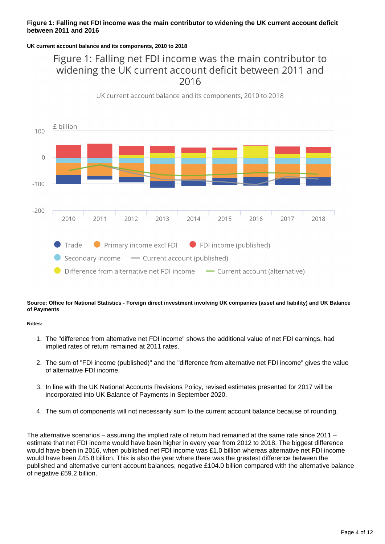### **Figure 1: Falling net FDI income was the main contributor to widening the UK current account deficit between 2011 and 2016**

### **UK current account balance and its components, 2010 to 2018**

### Figure 1: Falling net FDI income was the main contributor to widening the UK current account deficit between 2011 and 2016



### UK current account balance and its components, 2010 to 2018

### **Source: Office for National Statistics - Foreign direct investment involving UK companies (asset and liability) and UK Balance of Payments**

#### **Notes:**

- 1. The "difference from alternative net FDI income" shows the additional value of net FDI earnings, had implied rates of return remained at 2011 rates.
- 2. The sum of "FDI income (published)" and the "difference from alternative net FDI income" gives the value of alternative FDI income.
- 3. In line with the UK National Accounts Revisions Policy, revised estimates presented for 2017 will be incorporated into UK Balance of Payments in September 2020.
- 4. The sum of components will not necessarily sum to the current account balance because of rounding.

The alternative scenarios – assuming the implied rate of return had remained at the same rate since 2011 – estimate that net FDI income would have been higher in every year from 2012 to 2018. The biggest difference would have been in 2016, when published net FDI income was £1.0 billion whereas alternative net FDI income would have been £45.8 billion. This is also the year where there was the greatest difference between the published and alternative current account balances, negative £104.0 billion compared with the alternative balance of negative £59.2 billion.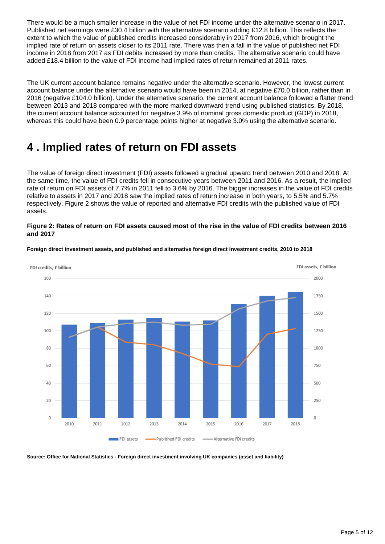There would be a much smaller increase in the value of net FDI income under the alternative scenario in 2017. Published net earnings were £30.4 billion with the alternative scenario adding £12.8 billion. This reflects the extent to which the value of published credits increased considerably in 2017 from 2016, which brought the implied rate of return on assets closer to its 2011 rate. There was then a fall in the value of published net FDI income in 2018 from 2017 as FDI debits increased by more than credits. The alternative scenario could have added £18.4 billion to the value of FDI income had implied rates of return remained at 2011 rates.

The UK current account balance remains negative under the alternative scenario. However, the lowest current account balance under the alternative scenario would have been in 2014, at negative £70.0 billion, rather than in 2016 (negative £104.0 billion). Under the alternative scenario, the current account balance followed a flatter trend between 2013 and 2018 compared with the more marked downward trend using published statistics. By 2018, the current account balance accounted for negative 3.9% of nominal gross domestic product (GDP) in 2018, whereas this could have been 0.9 percentage points higher at negative 3.0% using the alternative scenario.

## <span id="page-4-0"></span>**4 . Implied rates of return on FDI assets**

The value of foreign direct investment (FDI) assets followed a gradual upward trend between 2010 and 2018. At the same time, the value of FDI credits fell in consecutive years between 2011 and 2016. As a result, the implied rate of return on FDI assets of 7.7% in 2011 fell to 3.6% by 2016. The bigger increases in the value of FDI credits relative to assets in 2017 and 2018 saw the implied rates of return increase in both years, to 5.5% and 5.7% respectively. Figure 2 shows the value of reported and alternative FDI credits with the published value of FDI assets.

### **Figure 2: Rates of return on FDI assets caused most of the rise in the value of FDI credits between 2016 and 2017**



#### **Foreign direct investment assets, and published and alternative foreign direct investment credits, 2010 to 2018**

**Source: Office for National Statistics - Foreign direct investment involving UK companies (asset and liability)**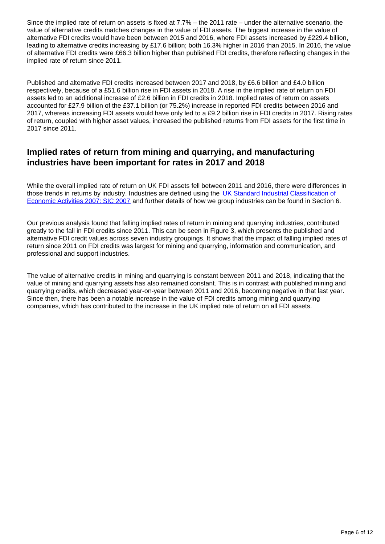Since the implied rate of return on assets is fixed at 7.7% – the 2011 rate – under the alternative scenario, the value of alternative credits matches changes in the value of FDI assets. The biggest increase in the value of alternative FDI credits would have been between 2015 and 2016, where FDI assets increased by £229.4 billion, leading to alternative credits increasing by £17.6 billion; both 16.3% higher in 2016 than 2015. In 2016, the value of alternative FDI credits were £66.3 billion higher than published FDI credits, therefore reflecting changes in the implied rate of return since 2011.

Published and alternative FDI credits increased between 2017 and 2018, by £6.6 billion and £4.0 billion respectively, because of a £51.6 billion rise in FDI assets in 2018. A rise in the implied rate of return on FDI assets led to an additional increase of £2.6 billion in FDI credits in 2018. Implied rates of return on assets accounted for £27.9 billion of the £37.1 billion (or 75.2%) increase in reported FDI credits between 2016 and 2017, whereas increasing FDI assets would have only led to a £9.2 billion rise in FDI credits in 2017. Rising rates of return, coupled with higher asset values, increased the published returns from FDI assets for the first time in 2017 since 2011.

### **Implied rates of return from mining and quarrying, and manufacturing industries have been important for rates in 2017 and 2018**

While the overall implied rate of return on UK FDI assets fell between 2011 and 2016, there were differences in those trends in returns by industry. Industries are defined using the UK Standard Industrial Classification of [Economic Activities 2007: SIC 2007](https://www.ons.gov.uk/methodology/classificationsandstandards/ukstandardindustrialclassificationofeconomicactivities/uksic2007) and further details of how we group industries can be found in Section 6.

Our previous analysis found that falling implied rates of return in mining and quarrying industries, contributed greatly to the fall in FDI credits since 2011. This can be seen in Figure 3, which presents the published and alternative FDI credit values across seven industry groupings. It shows that the impact of falling implied rates of return since 2011 on FDI credits was largest for mining and quarrying, information and communication, and professional and support industries.

The value of alternative credits in mining and quarrying is constant between 2011 and 2018, indicating that the value of mining and quarrying assets has also remained constant. This is in contrast with published mining and quarrying credits, which decreased year-on-year between 2011 and 2016, becoming negative in that last year. Since then, there has been a notable increase in the value of FDI credits among mining and quarrying companies, which has contributed to the increase in the UK implied rate of return on all FDI assets.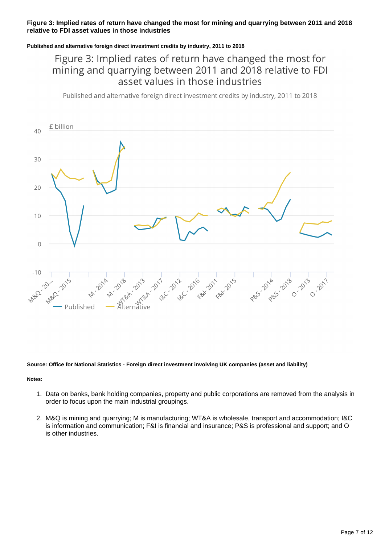### **Figure 3: Implied rates of return have changed the most for mining and quarrying between 2011 and 2018 relative to FDI asset values in those industries**

### **Published and alternative foreign direct investment credits by industry, 2011 to 2018**

### Figure 3: Implied rates of return have changed the most for mining and quarrying between 2011 and 2018 relative to FDI asset values in those industries

Published and alternative foreign direct investment credits by industry, 2011 to 2018



### **Source: Office for National Statistics - Foreign direct investment involving UK companies (asset and liability)**

### **Notes:**

- 1. Data on banks, bank holding companies, property and public corporations are removed from the analysis in order to focus upon the main industrial groupings.
- 2. M&Q is mining and quarrying; M is manufacturing; WT&A is wholesale, transport and accommodation; I&C is information and communication; F&I is financial and insurance; P&S is professional and support; and O is other industries.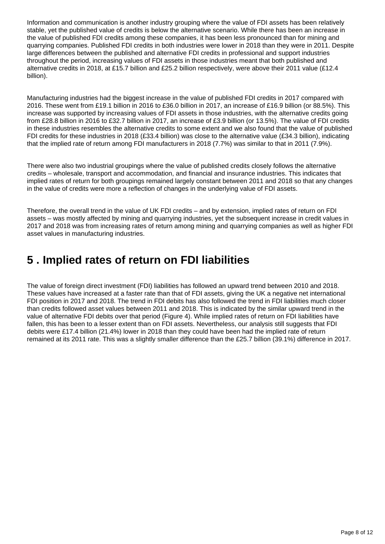Information and communication is another industry grouping where the value of FDI assets has been relatively stable, yet the published value of credits is below the alternative scenario. While there has been an increase in the value of published FDI credits among these companies, it has been less pronounced than for mining and quarrying companies. Published FDI credits in both industries were lower in 2018 than they were in 2011. Despite large differences between the published and alternative FDI credits in professional and support industries throughout the period, increasing values of FDI assets in those industries meant that both published and alternative credits in 2018, at £15.7 billion and £25.2 billion respectively, were above their 2011 value (£12.4 billion).

Manufacturing industries had the biggest increase in the value of published FDI credits in 2017 compared with 2016. These went from £19.1 billion in 2016 to £36.0 billion in 2017, an increase of £16.9 billion (or 88.5%). This increase was supported by increasing values of FDI assets in those industries, with the alternative credits going from £28.8 billion in 2016 to £32.7 billion in 2017, an increase of £3.9 billion (or 13.5%). The value of FDI credits in these industries resembles the alternative credits to some extent and we also found that the value of published FDI credits for these industries in 2018 (£33.4 billion) was close to the alternative value (£34.3 billion), indicating that the implied rate of return among FDI manufacturers in 2018 (7.7%) was similar to that in 2011 (7.9%).

There were also two industrial groupings where the value of published credits closely follows the alternative credits – wholesale, transport and accommodation, and financial and insurance industries. This indicates that implied rates of return for both groupings remained largely constant between 2011 and 2018 so that any changes in the value of credits were more a reflection of changes in the underlying value of FDI assets.

Therefore, the overall trend in the value of UK FDI credits – and by extension, implied rates of return on FDI assets – was mostly affected by mining and quarrying industries, yet the subsequent increase in credit values in 2017 and 2018 was from increasing rates of return among mining and quarrying companies as well as higher FDI asset values in manufacturing industries.

## <span id="page-7-0"></span>**5 . Implied rates of return on FDI liabilities**

The value of foreign direct investment (FDI) liabilities has followed an upward trend between 2010 and 2018. These values have increased at a faster rate than that of FDI assets, giving the UK a negative net international FDI position in 2017 and 2018. The trend in FDI debits has also followed the trend in FDI liabilities much closer than credits followed asset values between 2011 and 2018. This is indicated by the similar upward trend in the value of alternative FDI debits over that period (Figure 4). While implied rates of return on FDI liabilities have fallen, this has been to a lesser extent than on FDI assets. Nevertheless, our analysis still suggests that FDI debits were £17.4 billion (21.4%) lower in 2018 than they could have been had the implied rate of return remained at its 2011 rate. This was a slightly smaller difference than the £25.7 billion (39.1%) difference in 2017.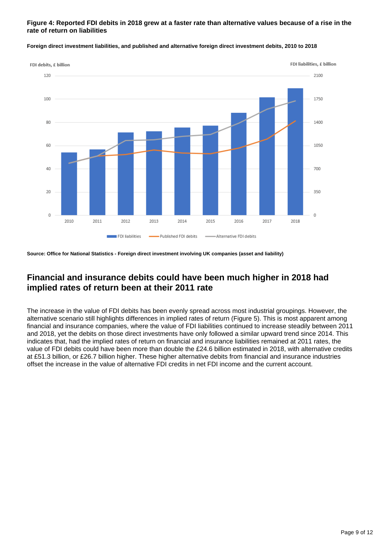### **Figure 4: Reported FDI debits in 2018 grew at a faster rate than alternative values because of a rise in the rate of return on liabilities**



#### **Foreign direct investment liabilities, and published and alternative foreign direct investment debits, 2010 to 2018**

**Source: Office for National Statistics - Foreign direct investment involving UK companies (asset and liability)**

### **Financial and insurance debits could have been much higher in 2018 had implied rates of return been at their 2011 rate**

The increase in the value of FDI debits has been evenly spread across most industrial groupings. However, the alternative scenario still highlights differences in implied rates of return (Figure 5). This is most apparent among financial and insurance companies, where the value of FDI liabilities continued to increase steadily between 2011 and 2018, yet the debits on those direct investments have only followed a similar upward trend since 2014. This indicates that, had the implied rates of return on financial and insurance liabilities remained at 2011 rates, the value of FDI debits could have been more than double the £24.6 billion estimated in 2018, with alternative credits at £51.3 billion, or £26.7 billion higher. These higher alternative debits from financial and insurance industries offset the increase in the value of alternative FDI credits in net FDI income and the current account.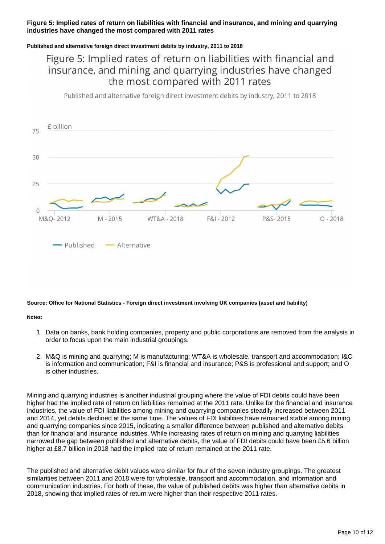### **Figure 5: Implied rates of return on liabilities with financial and insurance, and mining and quarrying industries have changed the most compared with 2011 rates**

### **Published and alternative foreign direct investment debits by industry, 2011 to 2018**

### Figure 5: Implied rates of return on liabilities with financial and insurance, and mining and quarrying industries have changed the most compared with 2011 rates

Published and alternative foreign direct investment debits by industry, 2011 to 2018



#### **Source: Office for National Statistics - Foreign direct investment involving UK companies (asset and liability)**

#### **Notes:**

- 1. Data on banks, bank holding companies, property and public corporations are removed from the analysis in order to focus upon the main industrial groupings.
- 2. M&Q is mining and quarrying; M is manufacturing; WT&A is wholesale, transport and accommodation; I&C is information and communication; F&I is financial and insurance; P&S is professional and support; and O is other industries.

Mining and quarrying industries is another industrial grouping where the value of FDI debits could have been higher had the implied rate of return on liabilities remained at the 2011 rate. Unlike for the financial and insurance industries, the value of FDI liabilities among mining and quarrying companies steadily increased between 2011 and 2014, yet debits declined at the same time. The values of FDI liabilities have remained stable among mining and quarrying companies since 2015, indicating a smaller difference between published and alternative debits than for financial and insurance industries. While increasing rates of return on mining and quarrying liabilities narrowed the gap between published and alternative debits, the value of FDI debits could have been £5.6 billion higher at £8.7 billion in 2018 had the implied rate of return remained at the 2011 rate.

The published and alternative debit values were similar for four of the seven industry groupings. The greatest similarities between 2011 and 2018 were for wholesale, transport and accommodation, and information and communication industries. For both of these, the value of published debits was higher than alternative debits in 2018, showing that implied rates of return were higher than their respective 2011 rates.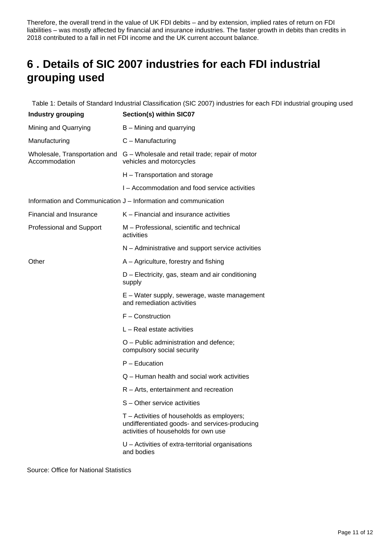Therefore, the overall trend in the value of UK FDI debits – and by extension, implied rates of return on FDI liabilities – was mostly affected by financial and insurance industries. The faster growth in debits than credits in 2018 contributed to a fall in net FDI income and the UK current account balance.

## <span id="page-10-0"></span>**6 . Details of SIC 2007 industries for each FDI industrial grouping used**

Table 1: Details of Standard Industrial Classification (SIC 2007) industries for each FDI industrial grouping used

| <b>Industry grouping</b> | Section(s) within SIC07                                                                                                              |
|--------------------------|--------------------------------------------------------------------------------------------------------------------------------------|
| Mining and Quarrying     | $B -$ Mining and quarrying                                                                                                           |
| Manufacturing            | $C -$ Manufacturing                                                                                                                  |
| Accommodation            | Wholesale, Transportation and G - Wholesale and retail trade; repair of motor<br>vehicles and motorcycles                            |
|                          | H - Transportation and storage                                                                                                       |
|                          | I - Accommodation and food service activities                                                                                        |
|                          | Information and Communication J – Information and communication                                                                      |
| Financial and Insurance  | $K$ – Financial and insurance activities                                                                                             |
| Professional and Support | M - Professional, scientific and technical<br>activities                                                                             |
|                          | $N -$ Administrative and support service activities                                                                                  |
| Other                    | A - Agriculture, forestry and fishing                                                                                                |
|                          | D – Electricity, gas, steam and air conditioning<br>supply                                                                           |
|                          | E – Water supply, sewerage, waste management<br>and remediation activities                                                           |
|                          | $F -$ Construction                                                                                                                   |
|                          | $L - Real$ estate activities                                                                                                         |
|                          | O – Public administration and defence;<br>compulsory social security                                                                 |
|                          | $P - Education$                                                                                                                      |
|                          | Q - Human health and social work activities                                                                                          |
|                          | $R$ – Arts, entertainment and recreation                                                                                             |
|                          | S – Other service activities                                                                                                         |
|                          | T - Activities of households as employers;<br>undifferentiated goods- and services-producing<br>activities of households for own use |
|                          | $U$ – Activities of extra-territorial organisations<br>and bodies                                                                    |

Source: Office for National Statistics